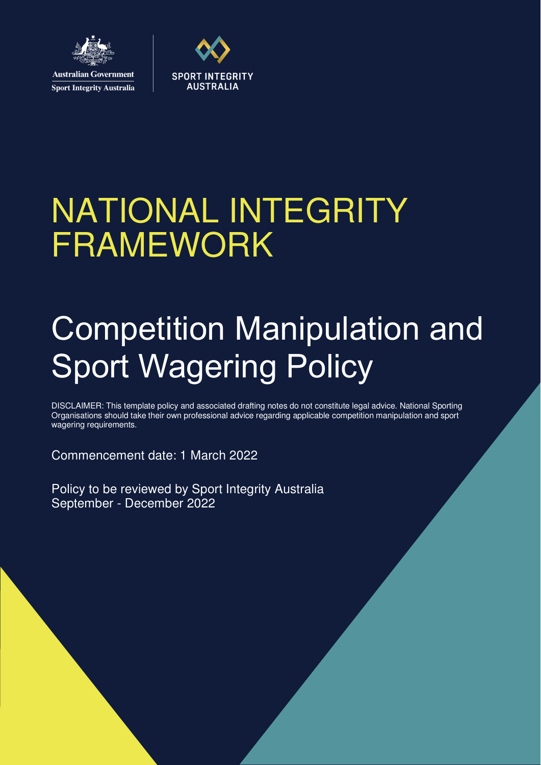

**Sport Integrity Australia** 



# NATIONAL INTEGRITY FRAMEWORK

## Competition Manipulation and Sport Wagering Policy

DISCLAIMER: This template policy and associated drafting notes do not constitute legal advice. National Sporting Organisations should take their own professional advice regarding applicable competition manipulation and sport wagering requirements.

Commencement date: 1 March 2022

Policy to be reviewed by Sport Integrity Australia September - December 2022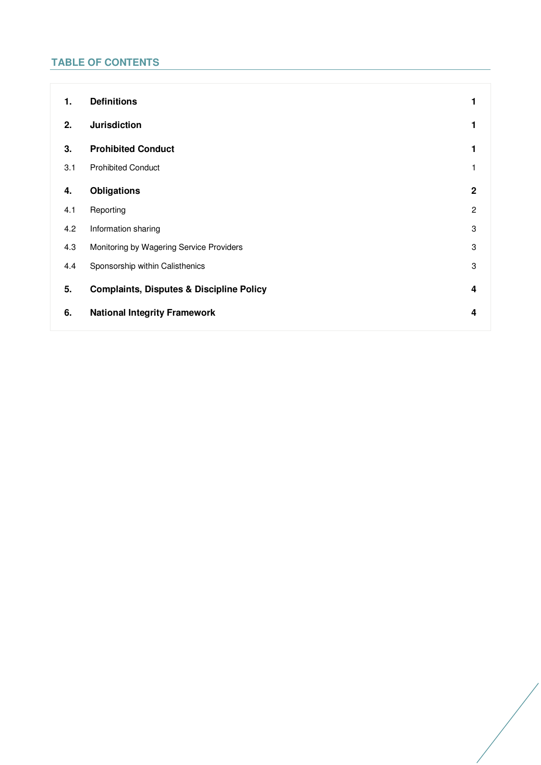## **TABLE OF CONTENTS**

| 1.  | <b>Definitions</b>                                  |                |
|-----|-----------------------------------------------------|----------------|
| 2.  | <b>Jurisdiction</b>                                 |                |
| 3.  | <b>Prohibited Conduct</b>                           |                |
| 3.1 | <b>Prohibited Conduct</b>                           |                |
| 4.  | <b>Obligations</b>                                  | $\mathbf 2$    |
| 4.1 | Reporting                                           | $\overline{2}$ |
| 4.2 | Information sharing                                 | 3              |
| 4.3 | Monitoring by Wagering Service Providers            | 3              |
| 4.4 | Sponsorship within Calisthenics                     | 3              |
| 5.  | <b>Complaints, Disputes &amp; Discipline Policy</b> | 4              |
| 6.  | <b>National Integrity Framework</b>                 | 4              |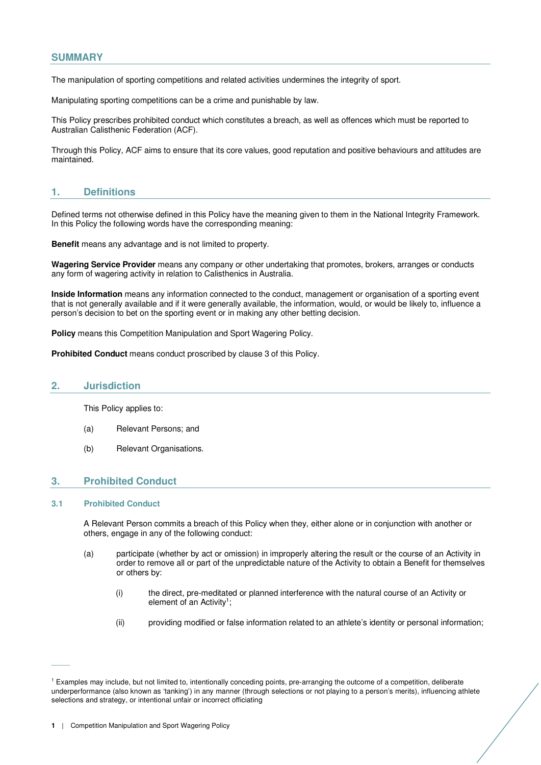## **SUMMARY**

The manipulation of sporting competitions and related activities undermines the integrity of sport.

Manipulating sporting competitions can be a crime and punishable by law.

This Policy prescribes prohibited conduct which constitutes a breach, as well as offences which must be reported to Australian Calisthenic Federation (ACF).

Through this Policy, ACF aims to ensure that its core values, good reputation and positive behaviours and attitudes are maintained.

## **1. Definitions**

Defined terms not otherwise defined in this Policy have the meaning given to them in the National Integrity Framework. In this Policy the following words have the corresponding meaning:

**Benefit** means any advantage and is not limited to property.

**Wagering Service Provider** means any company or other undertaking that promotes, brokers, arranges or conducts any form of wagering activity in relation to Calisthenics in Australia.

**Inside Information** means any information connected to the conduct, management or organisation of a sporting event that is not generally available and if it were generally available, the information, would, or would be likely to, influence a person's decision to bet on the sporting event or in making any other betting decision.

**Policy** means this Competition Manipulation and Sport Wagering Policy.

**Prohibited Conduct** means conduct proscribed by clause 3 of this Policy.

### **2. Jurisdiction**

This Policy applies to:

- (a) Relevant Persons; and
- (b) Relevant Organisations.

## **3. Prohibited Conduct**

#### **3.1 Prohibited Conduct**

 $\overline{\phantom{a}}$ 

A Relevant Person commits a breach of this Policy when they, either alone or in conjunction with another or others, engage in any of the following conduct:

- (a) participate (whether by act or omission) in improperly altering the result or the course of an Activity in order to remove all or part of the unpredictable nature of the Activity to obtain a Benefit for themselves or others by:
	- (i) the direct, pre-meditated or planned interference with the natural course of an Activity or element of an Activity<sup>1</sup>;
	- (ii) providing modified or false information related to an athlete's identity or personal information;

<sup>&</sup>lt;sup>1</sup> Examples may include, but not limited to, intentionally conceding points, pre-arranging the outcome of a competition, deliberate underperformance (also known as 'tanking') in any manner (through selections or not playing to a person's merits), influencing athlete selections and strategy, or intentional unfair or incorrect officiating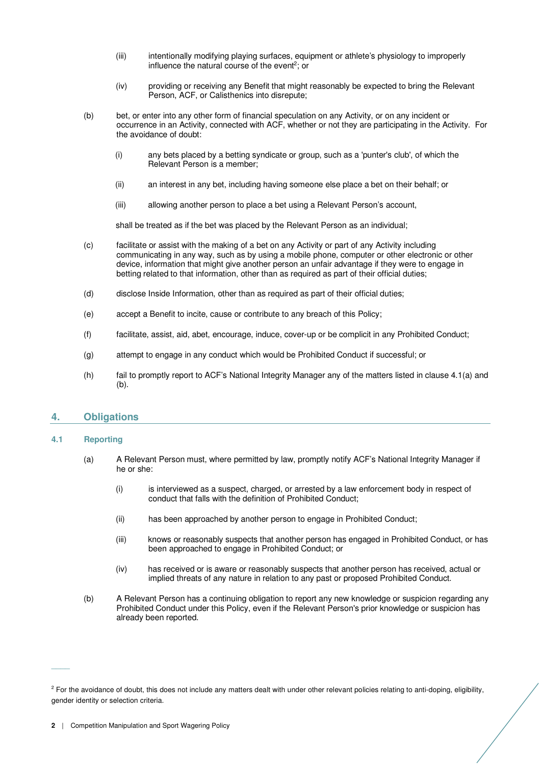- (iii) intentionally modifying playing surfaces, equipment or athlete's physiology to improperly influence the natural course of the event<sup>2</sup>; or
- (iv) providing or receiving any Benefit that might reasonably be expected to bring the Relevant Person, ACF, or Calisthenics into disrepute;
- (b) bet, or enter into any other form of financial speculation on any Activity, or on any incident or occurrence in an Activity, connected with ACF, whether or not they are participating in the Activity. For the avoidance of doubt:
	- (i) any bets placed by a betting syndicate or group, such as a 'punter's club', of which the Relevant Person is a member;
	- (ii) an interest in any bet, including having someone else place a bet on their behalf; or
	- (iii) allowing another person to place a bet using a Relevant Person's account,

shall be treated as if the bet was placed by the Relevant Person as an individual;

- (c) facilitate or assist with the making of a bet on any Activity or part of any Activity including communicating in any way, such as by using a mobile phone, computer or other electronic or other device, information that might give another person an unfair advantage if they were to engage in betting related to that information, other than as required as part of their official duties;
- (d) disclose Inside Information, other than as required as part of their official duties;
- (e) accept a Benefit to incite, cause or contribute to any breach of this Policy;
- (f) facilitate, assist, aid, abet, encourage, induce, cover-up or be complicit in any Prohibited Conduct;
- (g) attempt to engage in any conduct which would be Prohibited Conduct if successful; or
- (h) fail to promptly report to ACF's National Integrity Manager any of the matters listed in clause 4.1(a) and (b).

## **4. Obligations**

#### **4.1 Reporting**

 $\overline{\phantom{a}}$ 

- (a) A Relevant Person must, where permitted by law, promptly notify ACF's National Integrity Manager if he or she:
	- (i) is interviewed as a suspect, charged, or arrested by a law enforcement body in respect of conduct that falls with the definition of Prohibited Conduct;
	- (ii) has been approached by another person to engage in Prohibited Conduct;
	- (iii) knows or reasonably suspects that another person has engaged in Prohibited Conduct, or has been approached to engage in Prohibited Conduct; or
	- (iv) has received or is aware or reasonably suspects that another person has received, actual or implied threats of any nature in relation to any past or proposed Prohibited Conduct.
- (b) A Relevant Person has a continuing obligation to report any new knowledge or suspicion regarding any Prohibited Conduct under this Policy, even if the Relevant Person's prior knowledge or suspicion has already been reported.

<sup>&</sup>lt;sup>2</sup> For the avoidance of doubt, this does not include any matters dealt with under other relevant policies relating to anti-doping, eligibility, gender identity or selection criteria.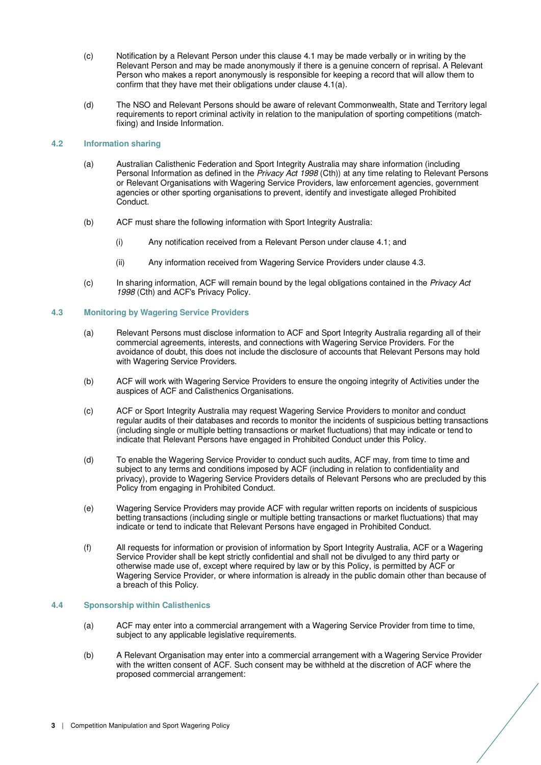- (c) Notification by a Relevant Person under this clause 4.1 may be made verbally or in writing by the Relevant Person and may be made anonymously if there is a genuine concern of reprisal. A Relevant Person who makes a report anonymously is responsible for keeping a record that will allow them to confirm that they have met their obligations under clause 4.1(a).
- (d) The NSO and Relevant Persons should be aware of relevant Commonwealth, State and Territory legal requirements to report criminal activity in relation to the manipulation of sporting competitions (matchfixing) and Inside Information.

## **4.2 Information sharing**

- (a) Australian Calisthenic Federation and Sport Integrity Australia may share information (including Personal Information as defined in the Privacy Act 1998 (Cth)) at any time relating to Relevant Persons or Relevant Organisations with Wagering Service Providers, law enforcement agencies, government agencies or other sporting organisations to prevent, identify and investigate alleged Prohibited Conduct.
- (b) ACF must share the following information with Sport Integrity Australia:
	- (i) Any notification received from a Relevant Person under clause 4.1; and
	- (ii) Any information received from Wagering Service Providers under clause 4.3.
- (c) In sharing information, ACF will remain bound by the legal obligations contained in the Privacy Act 1998 (Cth) and ACF's Privacy Policy.

#### **4.3 Monitoring by Wagering Service Providers**

- (a) Relevant Persons must disclose information to ACF and Sport Integrity Australia regarding all of their commercial agreements, interests, and connections with Wagering Service Providers. For the avoidance of doubt, this does not include the disclosure of accounts that Relevant Persons may hold with Wagering Service Providers.
- (b) ACF will work with Wagering Service Providers to ensure the ongoing integrity of Activities under the auspices of ACF and Calisthenics Organisations.
- (c) ACF or Sport Integrity Australia may request Wagering Service Providers to monitor and conduct regular audits of their databases and records to monitor the incidents of suspicious betting transactions (including single or multiple betting transactions or market fluctuations) that may indicate or tend to indicate that Relevant Persons have engaged in Prohibited Conduct under this Policy.
- (d) To enable the Wagering Service Provider to conduct such audits, ACF may, from time to time and subject to any terms and conditions imposed by ACF (including in relation to confidentiality and privacy), provide to Wagering Service Providers details of Relevant Persons who are precluded by this Policy from engaging in Prohibited Conduct.
- (e) Wagering Service Providers may provide ACF with regular written reports on incidents of suspicious betting transactions (including single or multiple betting transactions or market fluctuations) that may indicate or tend to indicate that Relevant Persons have engaged in Prohibited Conduct.
- (f) All requests for information or provision of information by Sport Integrity Australia, ACF or a Wagering Service Provider shall be kept strictly confidential and shall not be divulged to any third party or otherwise made use of, except where required by law or by this Policy, is permitted by ACF or Wagering Service Provider, or where information is already in the public domain other than because of a breach of this Policy.

### **4.4 Sponsorship within Calisthenics**

- (a) ACF may enter into a commercial arrangement with a Wagering Service Provider from time to time, subject to any applicable legislative requirements.
- (b) A Relevant Organisation may enter into a commercial arrangement with a Wagering Service Provider with the written consent of ACF. Such consent may be withheld at the discretion of ACF where the proposed commercial arrangement: